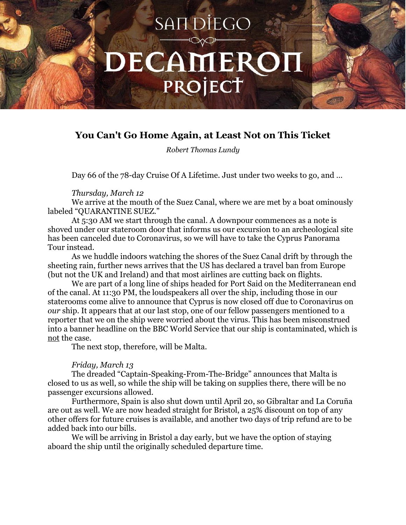# SAIT DIEGO DECAMEROI PROJECT

# **You Can't Go Home Again, at Least Not on This Ticket**

*Robert Thomas Lundy*

Day 66 of the 78-day Cruise Of A Lifetime. Just under two weeks to go, and …

### *Thursday, March 12*

We arrive at the mouth of the Suez Canal, where we are met by a boat ominously labeled "QUARANTINE SUEZ."

At 5:30 AM we start through the canal. A downpour commences as a note is shoved under our stateroom door that informs us our excursion to an archeological site has been canceled due to Coronavirus, so we will have to take the Cyprus Panorama Tour instead.

As we huddle indoors watching the shores of the Suez Canal drift by through the sheeting rain, further news arrives that the US has declared a travel ban from Europe (but not the UK and Ireland) and that most airlines are cutting back on flights.

We are part of a long line of ships headed for Port Said on the Mediterranean end of the canal. At 11:30 PM, the loudspeakers all over the ship, including those in our staterooms come alive to announce that Cyprus is now closed off due to Coronavirus on *our* ship. It appears that at our last stop, one of our fellow passengers mentioned to a reporter that we on the ship were worried about the virus. This has been misconstrued into a banner headline on the BBC World Service that our ship is contaminated, which is not the case.

The next stop, therefore, will be Malta.

## *Friday, March 13*

The dreaded "Captain-Speaking-From-The-Bridge" announces that Malta is closed to us as well, so while the ship will be taking on supplies there, there will be no passenger excursions allowed.

Furthermore, Spain is also shut down until April 20, so Gibraltar and La Coruña are out as well. We are now headed straight for Bristol, a 25% discount on top of any other offers for future cruises is available, and another two days of trip refund are to be added back into our bills.

We will be arriving in Bristol a day early, but we have the option of staying aboard the ship until the originally scheduled departure time.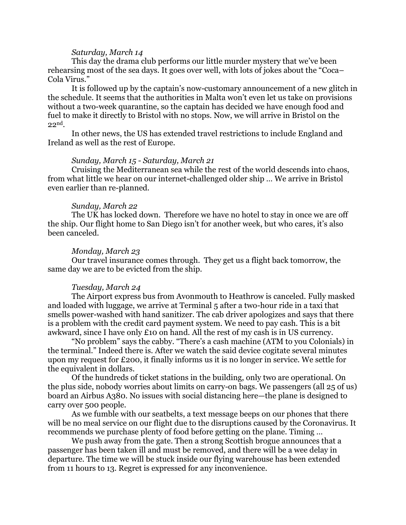#### *Saturday, March 14*

This day the drama club performs our little murder mystery that we've been rehearsing most of the sea days. It goes over well, with lots of jokes about the "Coca– Cola Virus."

It is followed up by the captain's now-customary announcement of a new glitch in the schedule. It seems that the authorities in Malta won't even let us take on provisions without a two-week quarantine, so the captain has decided we have enough food and fuel to make it directly to Bristol with no stops. Now, we will arrive in Bristol on the 22nd.

In other news, the US has extended travel restrictions to include England and Ireland as well as the rest of Europe.

#### *Sunday, March 15 - Saturday, March 21*

Cruising the Mediterranean sea while the rest of the world descends into chaos, from what little we hear on our internet-challenged older ship … We arrive in Bristol even earlier than re-planned.

#### *Sunday, March 22*

The UK has locked down. Therefore we have no hotel to stay in once we are off the ship. Our flight home to San Diego isn't for another week, but who cares, it's also been canceled.

#### *Monday, March 23*

Our travel insurance comes through. They get us a flight back tomorrow, the same day we are to be evicted from the ship.

#### *Tuesday, March 24*

The Airport express bus from Avonmouth to Heathrow is canceled. Fully masked and loaded with luggage, we arrive at Terminal 5 after a two-hour ride in a taxi that smells power-washed with hand sanitizer. The cab driver apologizes and says that there is a problem with the credit card payment system. We need to pay cash. This is a bit awkward, since I have only £10 on hand. All the rest of my cash is in US currency.

"No problem" says the cabby. "There's a cash machine (ATM to you Colonials) in the terminal." Indeed there is. After we watch the said device cogitate several minutes upon my request for £200, it finally informs us it is no longer in service. We settle for the equivalent in dollars.

Of the hundreds of ticket stations in the building, only two are operational. On the plus side, nobody worries about limits on carry-on bags. We passengers (all 25 of us) board an Airbus A380. No issues with social distancing here—the plane is designed to carry over 500 people.

As we fumble with our seatbelts, a text message beeps on our phones that there will be no meal service on our flight due to the disruptions caused by the Coronavirus. It recommends we purchase plenty of food before getting on the plane. Timing …

We push away from the gate. Then a strong Scottish brogue announces that a passenger has been taken ill and must be removed, and there will be a wee delay in departure. The time we will be stuck inside our flying warehouse has been extended from 11 hours to 13. Regret is expressed for any inconvenience.